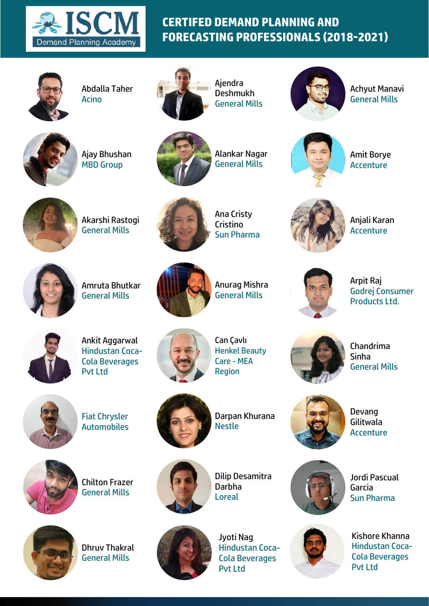



Abdalla Taher Acino



Ajendra Deshmukh General Mills



Achyut Manavi General Mills



Ajay Bhushan MBD Group



Alankar Nagar General Mills



Amit Borye **Accenture** 



Akarshi Rastogi General Mills



Ana Cristy **Cristino** Sun Pharma



Anjali Karan Accenture



Amruta Bhutkar General Mills



Anurag Mishra General Mills

Arpit Raj Godrej Consumer Products Ltd.



Ankit Aggarwal Hindustan Coca-Cola Beverages Pvt Ltd



Can Çavlı Henkel Beauty Care - MEA Region



Chandrima Sinha General Mills



Fiat Chrysler Automobiles



Darpan Khurana Nestle

Devang Gilitwala Accenture



Chilton Frazer General Mills



Dhruv Thakral General Mills



Dilip Desamitra Darbha Loreal



Jyoti Nag Hindustan Coca-Cola Beverages Pvt Ltd



Jordi Pascual Garcia Sun Pharma



Kishore Khanna Hindustan Coca-Cola Beverages Pvt Ltd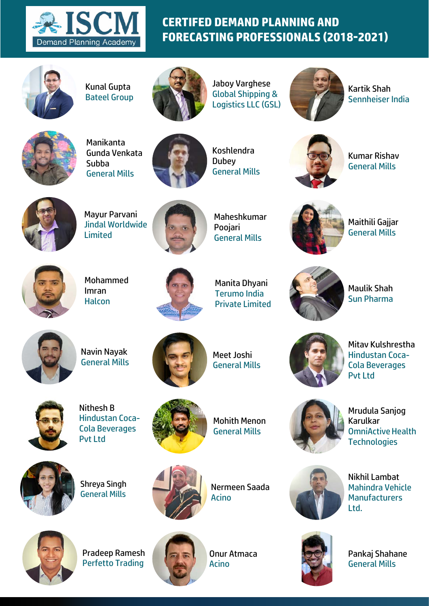



Kunal Gupta Bateel Group



Jaboy Varghese Global Shipping & Logistics LLC (GSL)



Kartik Shah Sennheiser India



Manikanta Gunda Venkata Subba General Mills



Koshlendra **Dubey** General Mills



Kumar Rishav General Mills



Mayur Parvani Jindal Worldwide Limited



Maheshkumar Poojari General Mills



Maithili Gajjar General Mills



Mohammed Imran **Halcon** 



Manita Dhyani Terumo India Private Limited

Maulik Shah Sun Pharma



Navin Nayak General Mills



Meet Joshi General Mills



Mitav Kulshrestha Hindustan Coca-Cola Beverages Pvt Ltd

Mrudula Sanjog

Karulkar



Nithesh B Hindustan Coca-Cola Beverages Pvt Ltd



Mohith Menon General Mills



Shreya Singh

General Mills



Nermeen Saada Acino



Pradeep Ramesh Perfetto Trading



Onur Atmaca Acino



Nikhil Lambat Mahindra Vehicle **Manufacturers** Ltd.



Pankaj Shahane General Mills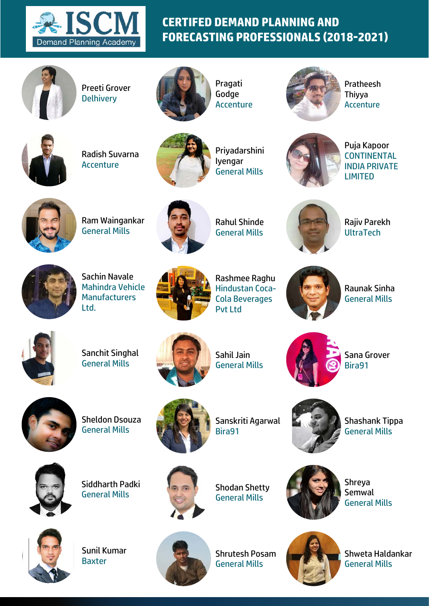



Preeti Grover **Delhivery** 



Pragati Godge Accenture



Pratheesh Thiyya **Accenture** 



Radish Suvarna Accenture



Priyadarshini Iyengar General Mills



Puja Kapoor **CONTINENTAL** INDIA PRIVATE LIMITED



Ram Waingankar General Mills



Rahul Shinde General Mills



Rajiv Parekh **UltraTech** 



Sachin Navale Mahindra Vehicle **Manufacturers** Ltd.



Rashmee Raghu Hindustan Coca-Cola Beverages Pvt Ltd

Raunak Sinha General Mills



Sanchit Singhal General Mills



Sahil Jain General Mills



Sana Grover Bira91



Sheldon Dsouza General Mills



Sanskriti Agarwal Bira91



Shashank Tippa General Mills



Siddharth Padki General Mills



Shodan Shetty General Mills



Shreya Semwal General Mills



Sunil Kumar Baxter



Shrutesh Posam General Mills



Shweta Haldankar General Mills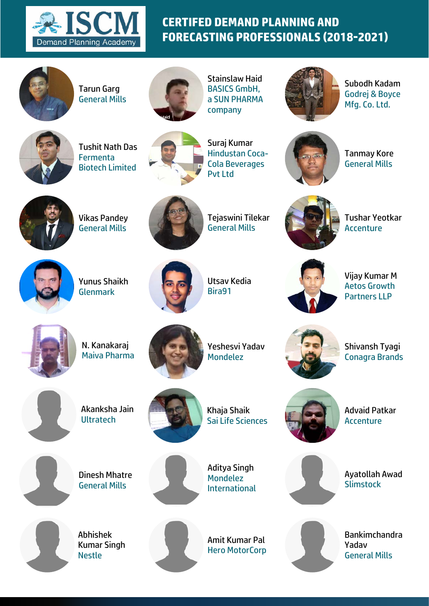



Tarun Garg General Mills



Stainslaw Haid BASICS GmbH, a SUN PHARMA company



Subodh Kadam Godrej & Boyce Mfg. Co. Ltd.



Tushit Nath Das **Fermenta** Biotech Limited



Suraj Kumar Hindustan Coca-Cola Beverages Pvt Ltd



Tanmay Kore General Mills



Vikas Pandey General Mills



Tejaswini Tilekar General Mills



Tushar Yeotkar **Accenture** 



Yunus Shaikh Glenmark



Utsav Kedia Bira91



Vijay Kumar M Aetos Growth Partners LLP



N. Kanakaraj Maiva Pharma



Yeshesvi Yadav Mondelez



Shivansh Tyagi Conagra Brands



Akanksha Jain **Ultratech** 

Dinesh Mhatre General Mills



Khaja Shaik Sai Life Sciences

Advaid Patkar **Accenture** 



Ayatollah Awad **Slimstock** 

Abhishek Kumar Singh Nestle



Aditya Singh Mondelez International

Amit Kumar Pal Hero MotorCorp



Bankimchandra Yadav General Mills